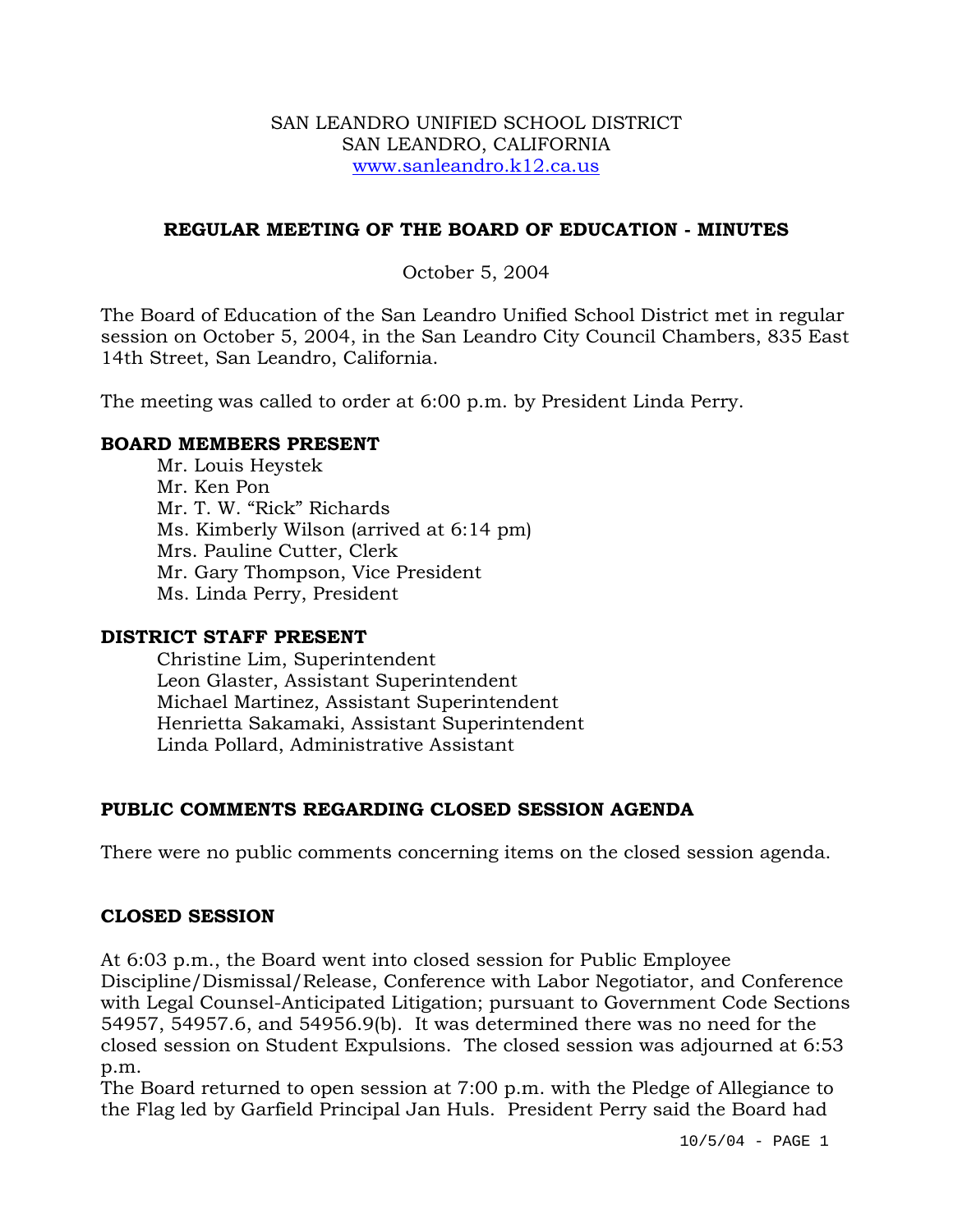### SAN LEANDRO UNIFIED SCHOOL DISTRICT SAN LEANDRO, CALIFORNIA www.sanleandro.k12.ca.us

## **REGULAR MEETING OF THE BOARD OF EDUCATION - MINUTES**

## October 5, 2004

The Board of Education of the San Leandro Unified School District met in regular session on October 5, 2004, in the San Leandro City Council Chambers, 835 East 14th Street, San Leandro, California.

The meeting was called to order at 6:00 p.m. by President Linda Perry.

### **BOARD MEMBERS PRESENT**

Mr. Louis Heystek Mr. Ken Pon Mr. T. W. "Rick" Richards Ms. Kimberly Wilson (arrived at 6:14 pm) Mrs. Pauline Cutter, Clerk Mr. Gary Thompson, Vice President Ms. Linda Perry, President

### **DISTRICT STAFF PRESENT**

Christine Lim, Superintendent Leon Glaster, Assistant Superintendent Michael Martinez, Assistant Superintendent Henrietta Sakamaki, Assistant Superintendent Linda Pollard, Administrative Assistant

## **PUBLIC COMMENTS REGARDING CLOSED SESSION AGENDA**

There were no public comments concerning items on the closed session agenda.

## **CLOSED SESSION**

At 6:03 p.m., the Board went into closed session for Public Employee Discipline/Dismissal/Release, Conference with Labor Negotiator, and Conference with Legal Counsel-Anticipated Litigation; pursuant to Government Code Sections 54957, 54957.6, and 54956.9(b). It was determined there was no need for the closed session on Student Expulsions. The closed session was adjourned at 6:53 p.m.

The Board returned to open session at 7:00 p.m. with the Pledge of Allegiance to the Flag led by Garfield Principal Jan Huls. President Perry said the Board had

10/5/04 - PAGE 1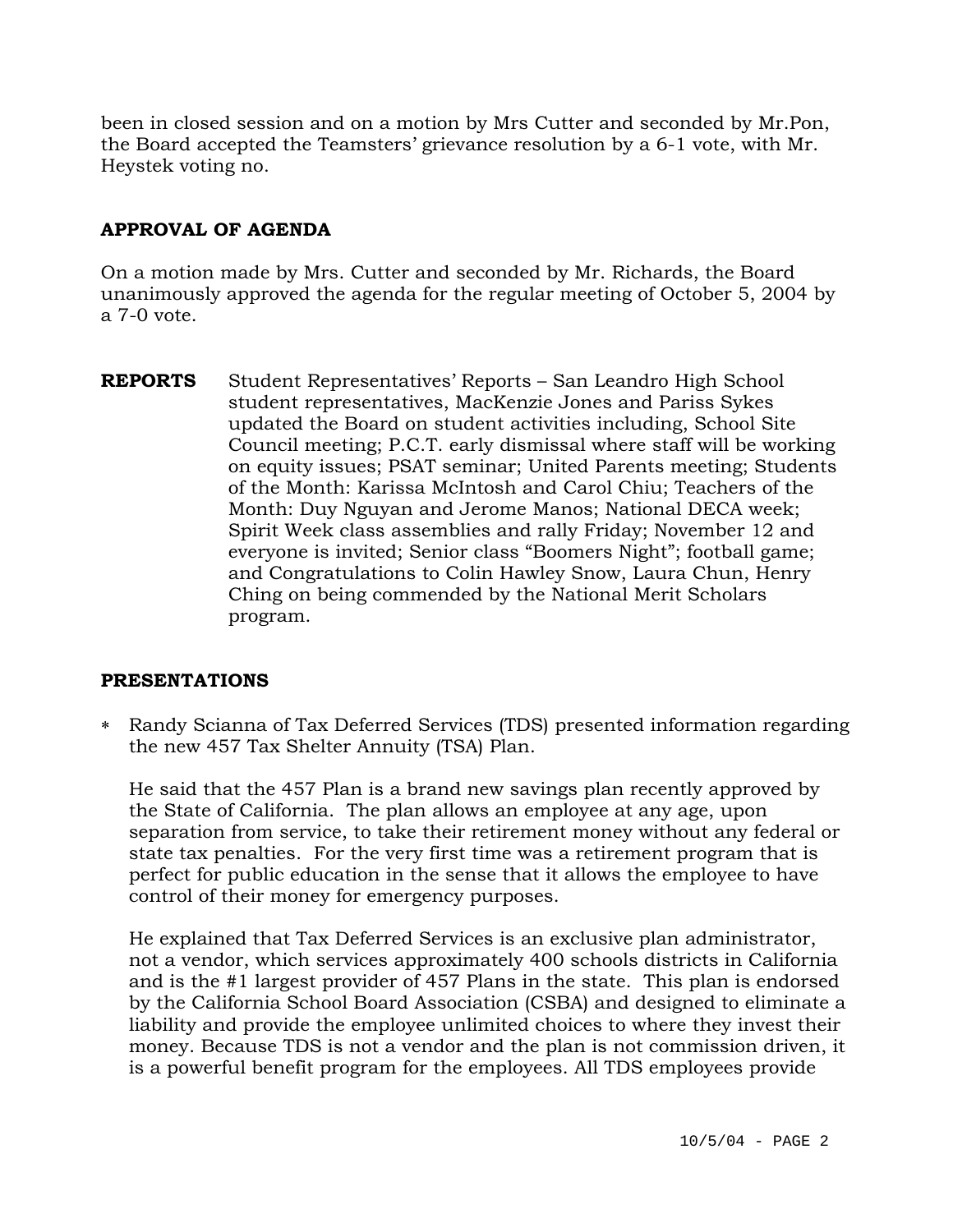been in closed session and on a motion by Mrs Cutter and seconded by Mr.Pon, the Board accepted the Teamsters' grievance resolution by a 6-1 vote, with Mr. Heystek voting no.

## **APPROVAL OF AGENDA**

On a motion made by Mrs. Cutter and seconded by Mr. Richards, the Board unanimously approved the agenda for the regular meeting of October 5, 2004 by a 7-0 vote.

**REPORTS** Student Representatives' Reports – San Leandro High School student representatives, MacKenzie Jones and Pariss Sykes updated the Board on student activities including, School Site Council meeting; P.C.T. early dismissal where staff will be working on equity issues; PSAT seminar; United Parents meeting; Students of the Month: Karissa McIntosh and Carol Chiu; Teachers of the Month: Duy Nguyan and Jerome Manos; National DECA week; Spirit Week class assemblies and rally Friday; November 12 and everyone is invited; Senior class "Boomers Night"; football game; and Congratulations to Colin Hawley Snow, Laura Chun, Henry Ching on being commended by the National Merit Scholars program.

## **PRESENTATIONS**

∗ Randy Scianna of Tax Deferred Services (TDS) presented information regarding the new 457 Tax Shelter Annuity (TSA) Plan.

He said that the 457 Plan is a brand new savings plan recently approved by the State of California. The plan allows an employee at any age, upon separation from service, to take their retirement money without any federal or state tax penalties. For the very first time was a retirement program that is perfect for public education in the sense that it allows the employee to have control of their money for emergency purposes.

He explained that Tax Deferred Services is an exclusive plan administrator, not a vendor, which services approximately 400 schools districts in California and is the #1 largest provider of 457 Plans in the state. This plan is endorsed by the California School Board Association (CSBA) and designed to eliminate a liability and provide the employee unlimited choices to where they invest their money. Because TDS is not a vendor and the plan is not commission driven, it is a powerful benefit program for the employees. All TDS employees provide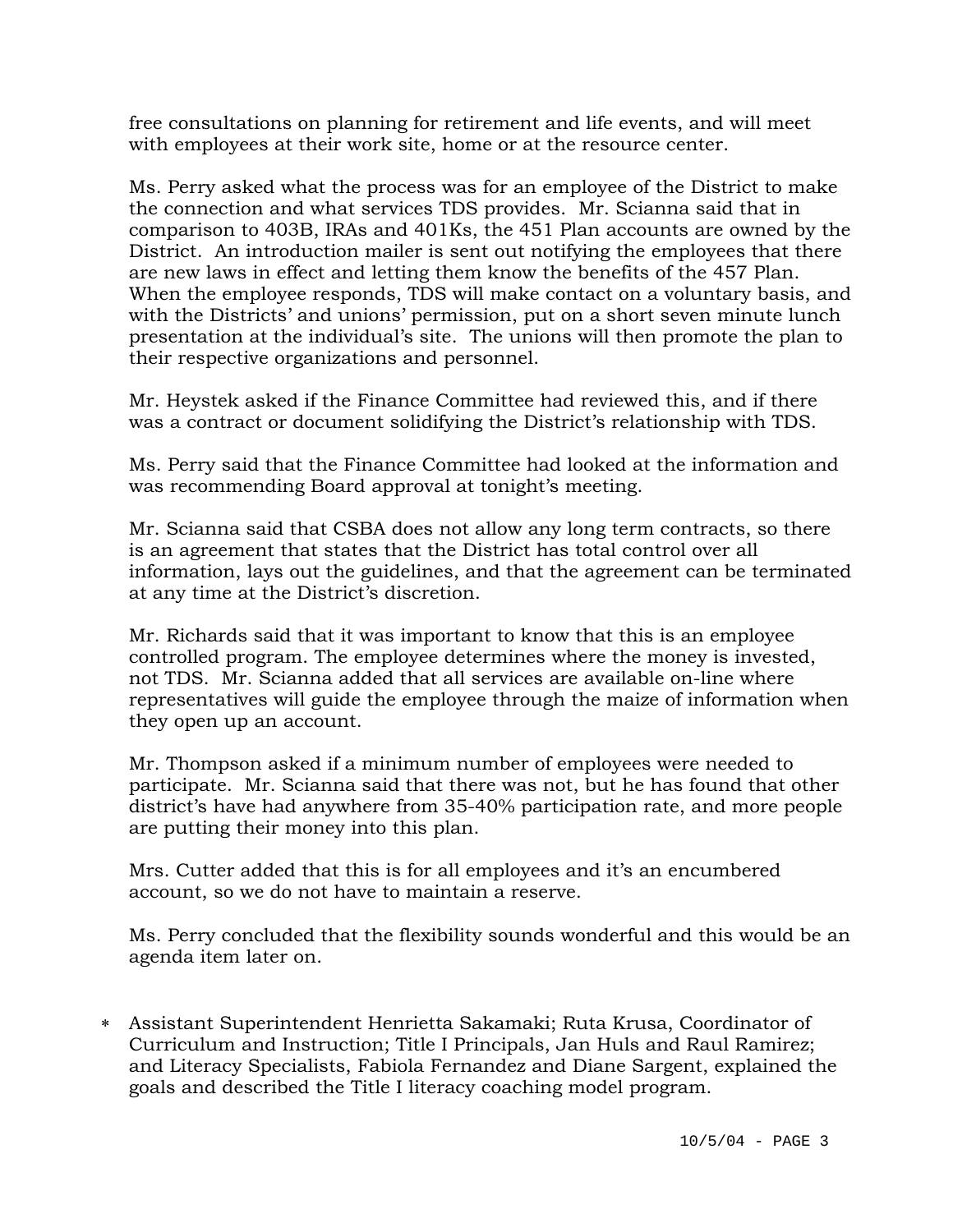free consultations on planning for retirement and life events, and will meet with employees at their work site, home or at the resource center.

Ms. Perry asked what the process was for an employee of the District to make the connection and what services TDS provides. Mr. Scianna said that in comparison to 403B, IRAs and 401Ks, the 451 Plan accounts are owned by the District. An introduction mailer is sent out notifying the employees that there are new laws in effect and letting them know the benefits of the 457 Plan. When the employee responds, TDS will make contact on a voluntary basis, and with the Districts' and unions' permission, put on a short seven minute lunch presentation at the individual's site. The unions will then promote the plan to their respective organizations and personnel.

Mr. Heystek asked if the Finance Committee had reviewed this, and if there was a contract or document solidifying the District's relationship with TDS.

Ms. Perry said that the Finance Committee had looked at the information and was recommending Board approval at tonight's meeting.

Mr. Scianna said that CSBA does not allow any long term contracts, so there is an agreement that states that the District has total control over all information, lays out the guidelines, and that the agreement can be terminated at any time at the District's discretion.

Mr. Richards said that it was important to know that this is an employee controlled program. The employee determines where the money is invested, not TDS. Mr. Scianna added that all services are available on-line where representatives will guide the employee through the maize of information when they open up an account.

Mr. Thompson asked if a minimum number of employees were needed to participate. Mr. Scianna said that there was not, but he has found that other district's have had anywhere from 35-40% participation rate, and more people are putting their money into this plan.

Mrs. Cutter added that this is for all employees and it's an encumbered account, so we do not have to maintain a reserve.

Ms. Perry concluded that the flexibility sounds wonderful and this would be an agenda item later on.

∗ Assistant Superintendent Henrietta Sakamaki; Ruta Krusa, Coordinator of Curriculum and Instruction; Title I Principals, Jan Huls and Raul Ramirez; and Literacy Specialists, Fabiola Fernandez and Diane Sargent, explained the goals and described the Title I literacy coaching model program.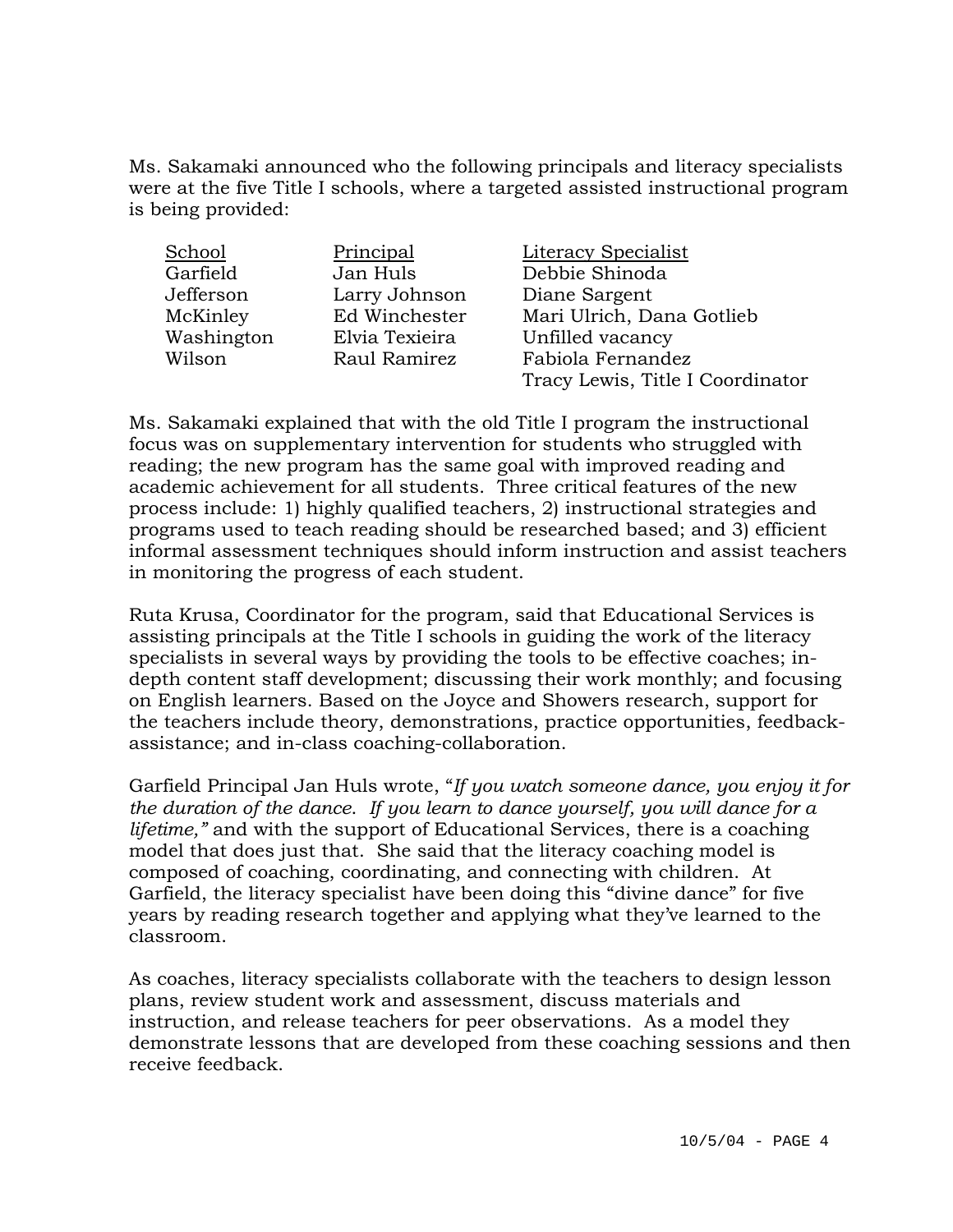Ms. Sakamaki announced who the following principals and literacy specialists were at the five Title I schools, where a targeted assisted instructional program is being provided:

| School     | Principal      | Literacy Specialist              |
|------------|----------------|----------------------------------|
| Garfield   | Jan Huls       | Debbie Shinoda                   |
| Jefferson  | Larry Johnson  | Diane Sargent                    |
| McKinley   | Ed Winchester  | Mari Ulrich, Dana Gotlieb        |
| Washington | Elvia Texieira | Unfilled vacancy                 |
| Wilson     | Raul Ramirez   | Fabiola Fernandez                |
|            |                | Tracy Lewis, Title I Coordinator |

Ms. Sakamaki explained that with the old Title I program the instructional focus was on supplementary intervention for students who struggled with reading; the new program has the same goal with improved reading and academic achievement for all students. Three critical features of the new process include: 1) highly qualified teachers, 2) instructional strategies and programs used to teach reading should be researched based; and 3) efficient informal assessment techniques should inform instruction and assist teachers in monitoring the progress of each student.

Ruta Krusa, Coordinator for the program, said that Educational Services is assisting principals at the Title I schools in guiding the work of the literacy specialists in several ways by providing the tools to be effective coaches; indepth content staff development; discussing their work monthly; and focusing on English learners. Based on the Joyce and Showers research, support for the teachers include theory, demonstrations, practice opportunities, feedbackassistance; and in-class coaching-collaboration.

Garfield Principal Jan Huls wrote, "*If you watch someone dance, you enjoy it for the duration of the dance*. *If you learn to dance yourself, you will dance for a lifetime,"* and with the support of Educational Services, there is a coaching model that does just that. She said that the literacy coaching model is composed of coaching, coordinating, and connecting with children. At Garfield, the literacy specialist have been doing this "divine dance" for five years by reading research together and applying what they've learned to the classroom.

As coaches, literacy specialists collaborate with the teachers to design lesson plans, review student work and assessment, discuss materials and instruction, and release teachers for peer observations. As a model they demonstrate lessons that are developed from these coaching sessions and then receive feedback.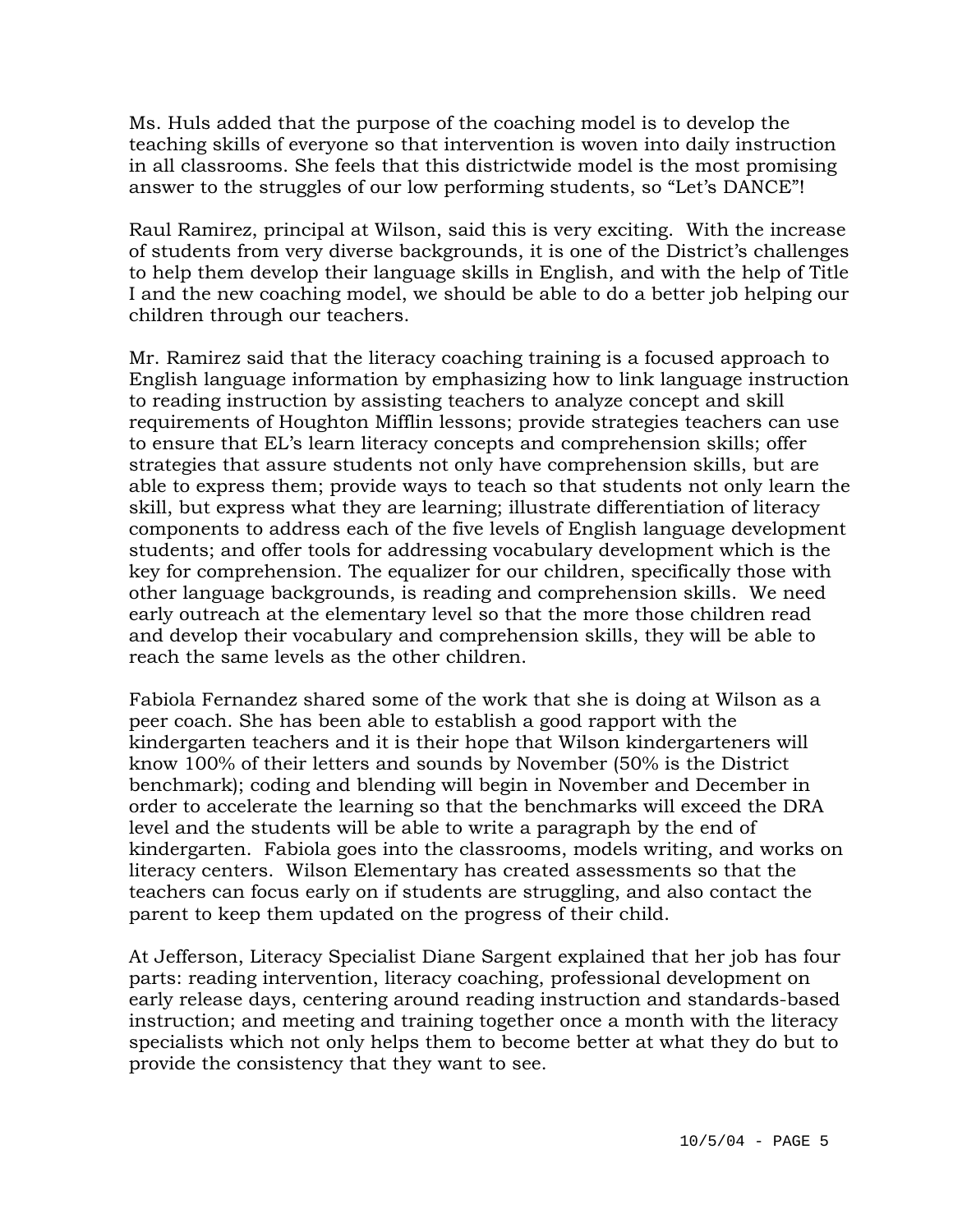Ms. Huls added that the purpose of the coaching model is to develop the teaching skills of everyone so that intervention is woven into daily instruction in all classrooms. She feels that this districtwide model is the most promising answer to the struggles of our low performing students, so "Let's DANCE"!

Raul Ramirez, principal at Wilson, said this is very exciting. With the increase of students from very diverse backgrounds, it is one of the District's challenges to help them develop their language skills in English, and with the help of Title I and the new coaching model, we should be able to do a better job helping our children through our teachers.

Mr. Ramirez said that the literacy coaching training is a focused approach to English language information by emphasizing how to link language instruction to reading instruction by assisting teachers to analyze concept and skill requirements of Houghton Mifflin lessons; provide strategies teachers can use to ensure that EL's learn literacy concepts and comprehension skills; offer strategies that assure students not only have comprehension skills, but are able to express them; provide ways to teach so that students not only learn the skill, but express what they are learning; illustrate differentiation of literacy components to address each of the five levels of English language development students; and offer tools for addressing vocabulary development which is the key for comprehension. The equalizer for our children, specifically those with other language backgrounds, is reading and comprehension skills. We need early outreach at the elementary level so that the more those children read and develop their vocabulary and comprehension skills, they will be able to reach the same levels as the other children.

Fabiola Fernandez shared some of the work that she is doing at Wilson as a peer coach. She has been able to establish a good rapport with the kindergarten teachers and it is their hope that Wilson kindergarteners will know 100% of their letters and sounds by November (50% is the District benchmark); coding and blending will begin in November and December in order to accelerate the learning so that the benchmarks will exceed the DRA level and the students will be able to write a paragraph by the end of kindergarten. Fabiola goes into the classrooms, models writing, and works on literacy centers. Wilson Elementary has created assessments so that the teachers can focus early on if students are struggling, and also contact the parent to keep them updated on the progress of their child.

At Jefferson, Literacy Specialist Diane Sargent explained that her job has four parts: reading intervention, literacy coaching, professional development on early release days, centering around reading instruction and standards-based instruction; and meeting and training together once a month with the literacy specialists which not only helps them to become better at what they do but to provide the consistency that they want to see.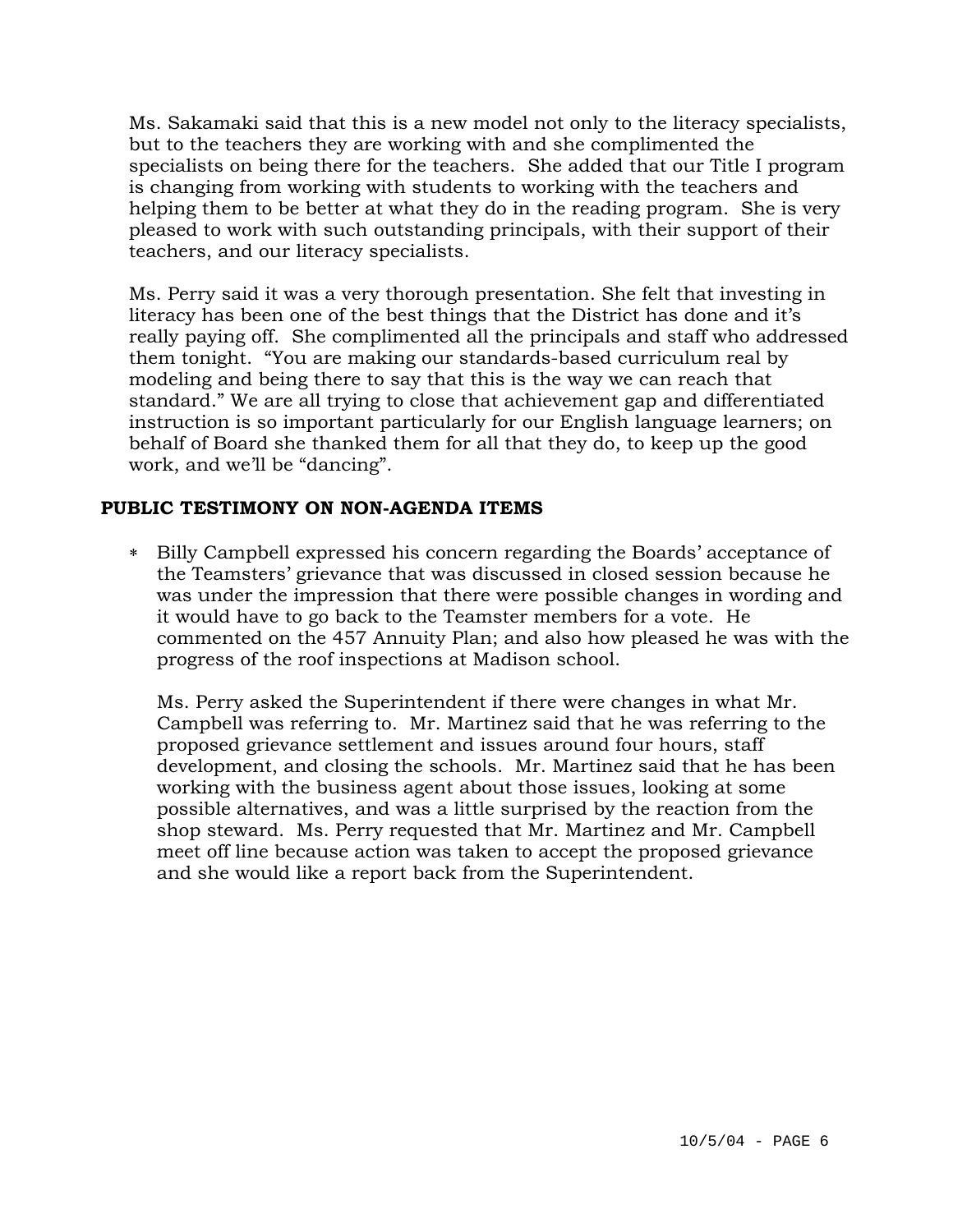Ms. Sakamaki said that this is a new model not only to the literacy specialists, but to the teachers they are working with and she complimented the specialists on being there for the teachers. She added that our Title I program is changing from working with students to working with the teachers and helping them to be better at what they do in the reading program. She is very pleased to work with such outstanding principals, with their support of their teachers, and our literacy specialists.

Ms. Perry said it was a very thorough presentation. She felt that investing in literacy has been one of the best things that the District has done and it's really paying off. She complimented all the principals and staff who addressed them tonight. "You are making our standards-based curriculum real by modeling and being there to say that this is the way we can reach that standard." We are all trying to close that achievement gap and differentiated instruction is so important particularly for our English language learners; on behalf of Board she thanked them for all that they do, to keep up the good work, and we'll be "dancing".

## **PUBLIC TESTIMONY ON NON-AGENDA ITEMS**

∗ Billy Campbell expressed his concern regarding the Boards' acceptance of the Teamsters' grievance that was discussed in closed session because he was under the impression that there were possible changes in wording and it would have to go back to the Teamster members for a vote. He commented on the 457 Annuity Plan; and also how pleased he was with the progress of the roof inspections at Madison school.

Ms. Perry asked the Superintendent if there were changes in what Mr. Campbell was referring to. Mr. Martinez said that he was referring to the proposed grievance settlement and issues around four hours, staff development, and closing the schools. Mr. Martinez said that he has been working with the business agent about those issues, looking at some possible alternatives, and was a little surprised by the reaction from the shop steward. Ms. Perry requested that Mr. Martinez and Mr. Campbell meet off line because action was taken to accept the proposed grievance and she would like a report back from the Superintendent.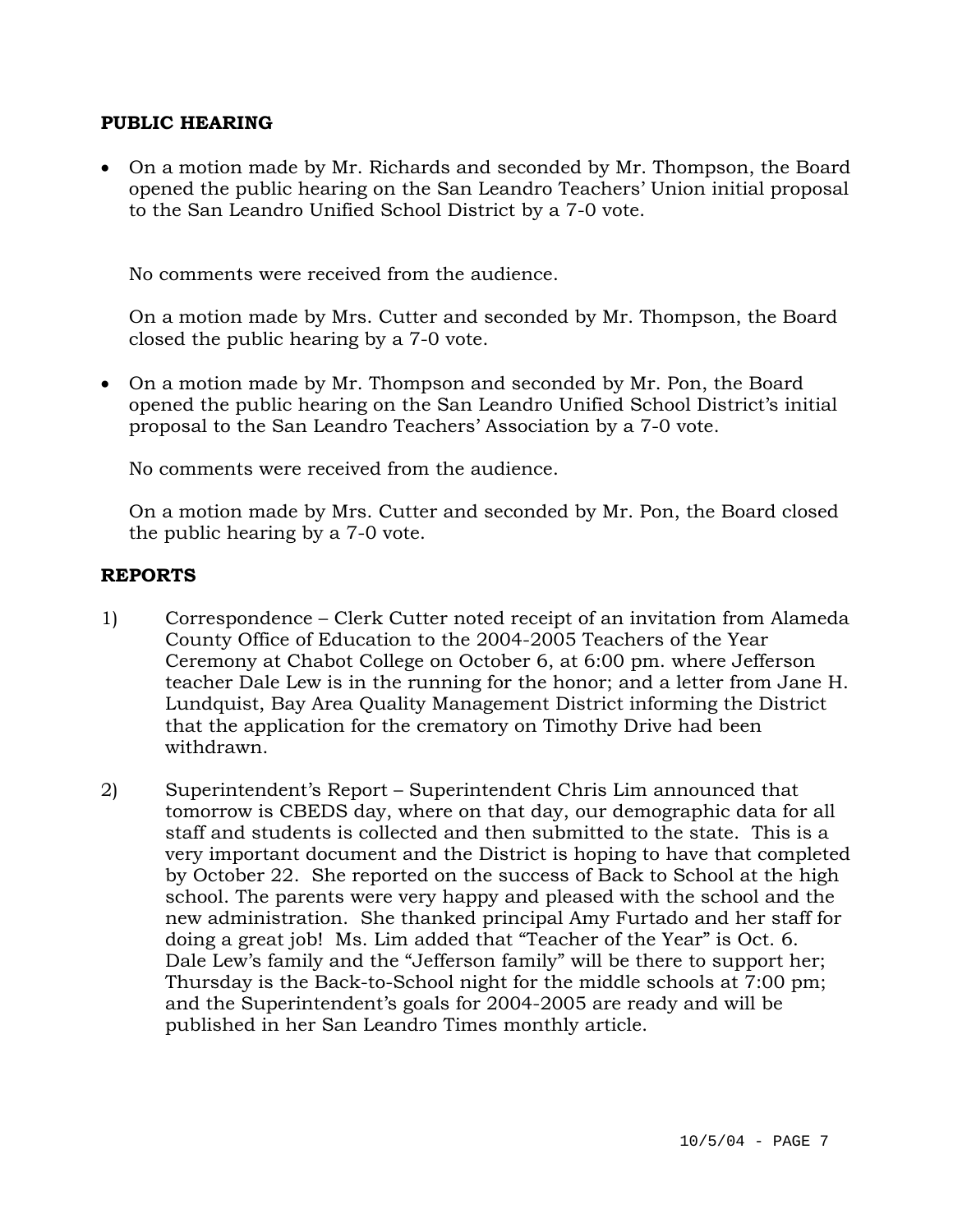### **PUBLIC HEARING**

• On a motion made by Mr. Richards and seconded by Mr. Thompson, the Board opened the public hearing on the San Leandro Teachers' Union initial proposal to the San Leandro Unified School District by a 7-0 vote.

No comments were received from the audience.

On a motion made by Mrs. Cutter and seconded by Mr. Thompson, the Board closed the public hearing by a 7-0 vote.

• On a motion made by Mr. Thompson and seconded by Mr. Pon, the Board opened the public hearing on the San Leandro Unified School District's initial proposal to the San Leandro Teachers' Association by a 7-0 vote.

No comments were received from the audience.

On a motion made by Mrs. Cutter and seconded by Mr. Pon, the Board closed the public hearing by a 7-0 vote.

### **REPORTS**

- 1) Correspondence Clerk Cutter noted receipt of an invitation from Alameda County Office of Education to the 2004-2005 Teachers of the Year Ceremony at Chabot College on October 6, at 6:00 pm. where Jefferson teacher Dale Lew is in the running for the honor; and a letter from Jane H. Lundquist, Bay Area Quality Management District informing the District that the application for the crematory on Timothy Drive had been withdrawn.
- 2) Superintendent's Report Superintendent Chris Lim announced that tomorrow is CBEDS day, where on that day, our demographic data for all staff and students is collected and then submitted to the state. This is a very important document and the District is hoping to have that completed by October 22. She reported on the success of Back to School at the high school. The parents were very happy and pleased with the school and the new administration. She thanked principal Amy Furtado and her staff for doing a great job! Ms. Lim added that "Teacher of the Year" is Oct. 6. Dale Lew's family and the "Jefferson family" will be there to support her; Thursday is the Back-to-School night for the middle schools at 7:00 pm; and the Superintendent's goals for 2004-2005 are ready and will be published in her San Leandro Times monthly article.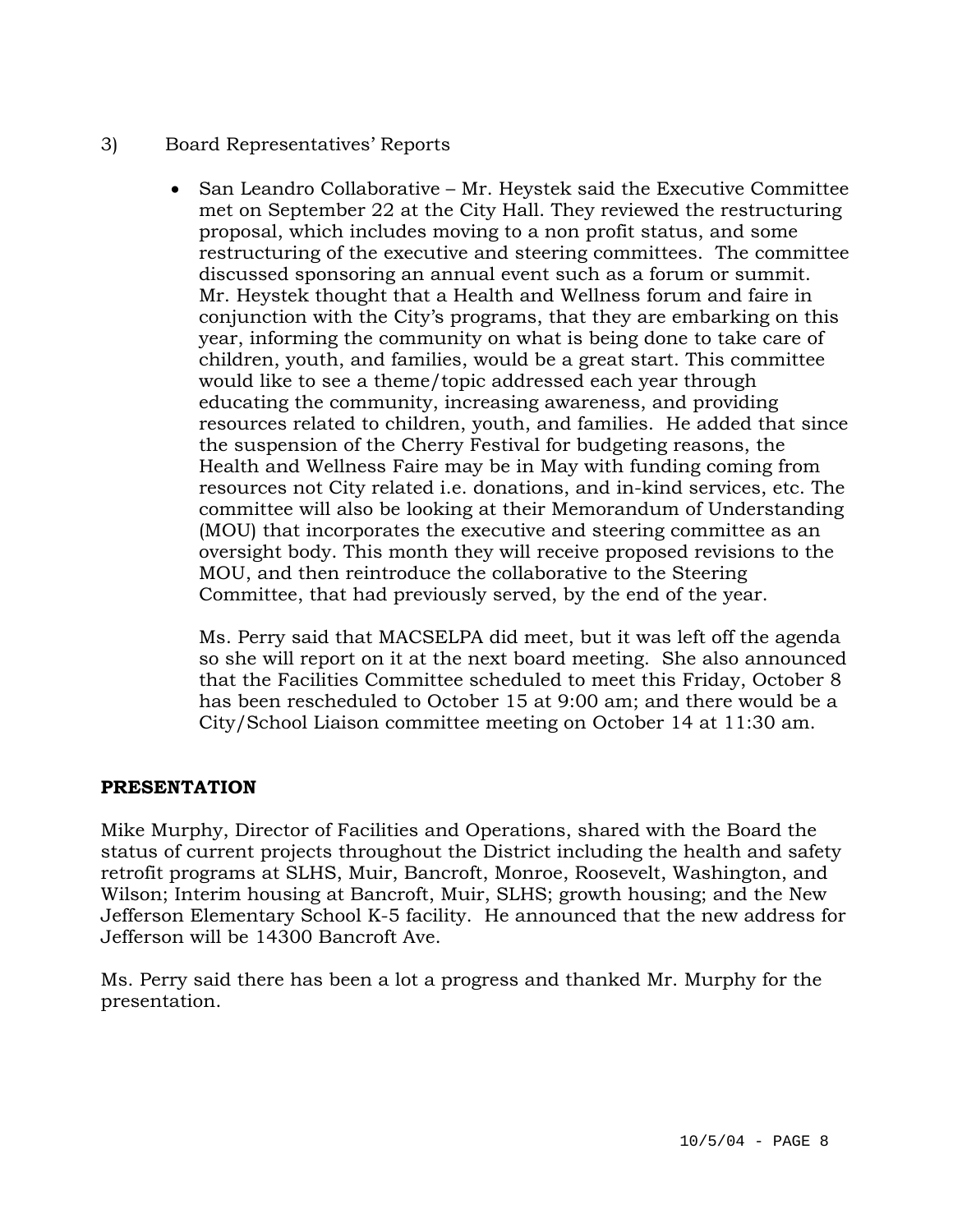- 3) Board Representatives' Reports
	- San Leandro Collaborative Mr. Heystek said the Executive Committee met on September 22 at the City Hall. They reviewed the restructuring proposal, which includes moving to a non profit status, and some restructuring of the executive and steering committees. The committee discussed sponsoring an annual event such as a forum or summit. Mr. Heystek thought that a Health and Wellness forum and faire in conjunction with the City's programs, that they are embarking on this year, informing the community on what is being done to take care of children, youth, and families, would be a great start. This committee would like to see a theme/topic addressed each year through educating the community, increasing awareness, and providing resources related to children, youth, and families. He added that since the suspension of the Cherry Festival for budgeting reasons, the Health and Wellness Faire may be in May with funding coming from resources not City related i.e. donations, and in-kind services, etc. The committee will also be looking at their Memorandum of Understanding (MOU) that incorporates the executive and steering committee as an oversight body. This month they will receive proposed revisions to the MOU, and then reintroduce the collaborative to the Steering Committee, that had previously served, by the end of the year.

Ms. Perry said that MACSELPA did meet, but it was left off the agenda so she will report on it at the next board meeting. She also announced that the Facilities Committee scheduled to meet this Friday, October 8 has been rescheduled to October 15 at 9:00 am; and there would be a City/School Liaison committee meeting on October 14 at 11:30 am.

# **PRESENTATION**

Mike Murphy, Director of Facilities and Operations, shared with the Board the status of current projects throughout the District including the health and safety retrofit programs at SLHS, Muir, Bancroft, Monroe, Roosevelt, Washington, and Wilson; Interim housing at Bancroft, Muir, SLHS; growth housing; and the New Jefferson Elementary School K-5 facility. He announced that the new address for Jefferson will be 14300 Bancroft Ave.

Ms. Perry said there has been a lot a progress and thanked Mr. Murphy for the presentation.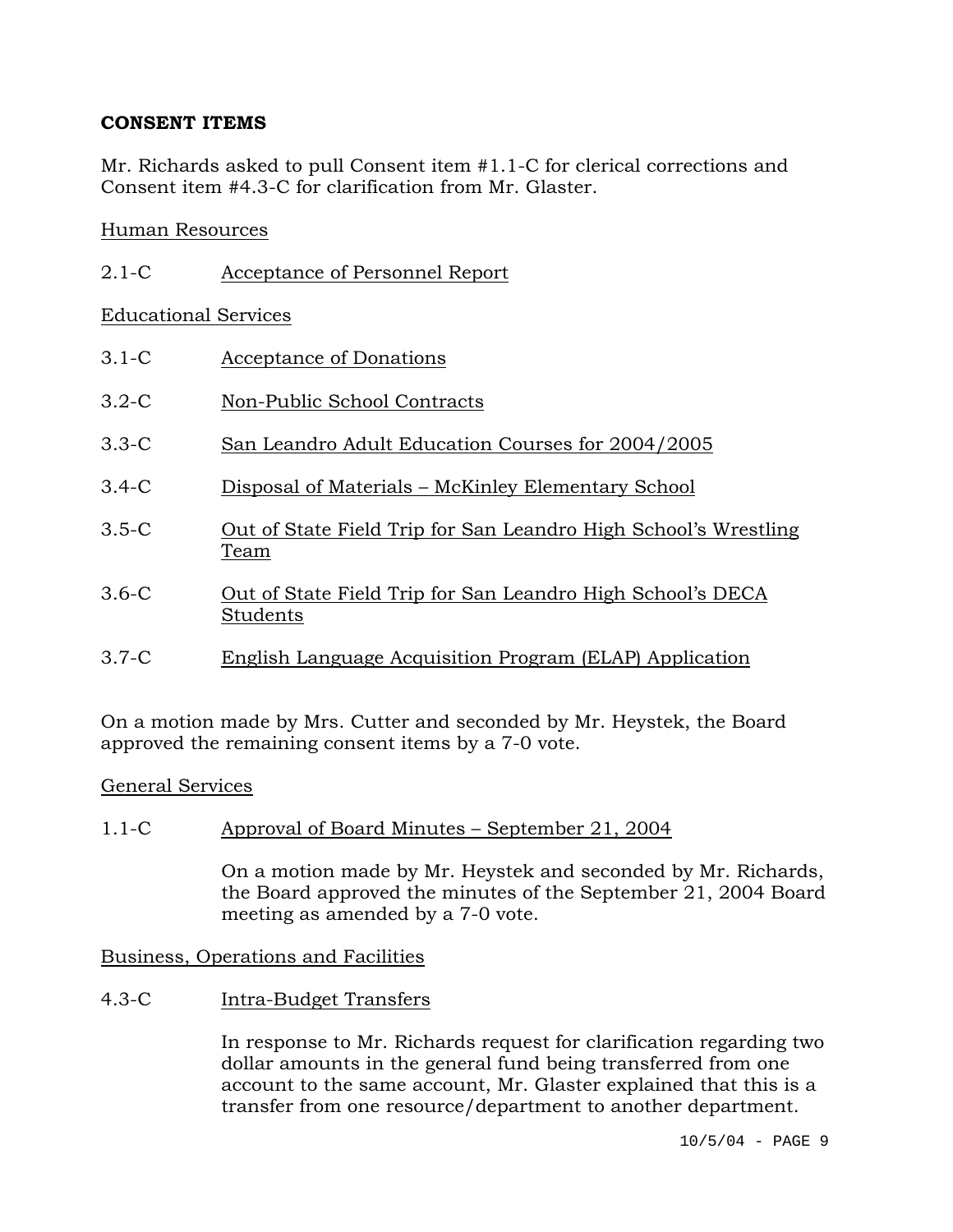## **CONSENT ITEMS**

Mr. Richards asked to pull Consent item #1.1-C for clerical corrections and Consent item #4.3-C for clarification from Mr. Glaster.

## Human Resources

| $2.1-C$ | Acceptance of Personnel Report |
|---------|--------------------------------|
|         |                                |

### Educational Services

- 3.1-C Acceptance of Donations
- 3.2-C Non-Public School Contracts
- 3.3-C San Leandro Adult Education Courses for 2004/2005
- 3.4-C Disposal of Materials McKinley Elementary School
- 3.5-C Out of State Field Trip for San Leandro High School's Wrestling Team
- 3.6-C Out of State Field Trip for San Leandro High School's DECA Students
- 3.7-C English Language Acquisition Program (ELAP) Application

On a motion made by Mrs. Cutter and seconded by Mr. Heystek, the Board approved the remaining consent items by a 7-0 vote.

### General Services

## 1.1-C Approval of Board Minutes – September 21, 2004

On a motion made by Mr. Heystek and seconded by Mr. Richards, the Board approved the minutes of the September 21, 2004 Board meeting as amended by a 7-0 vote.

### Business, Operations and Facilities

4.3-C Intra-Budget Transfers

In response to Mr. Richards request for clarification regarding two dollar amounts in the general fund being transferred from one account to the same account, Mr. Glaster explained that this is a transfer from one resource/department to another department.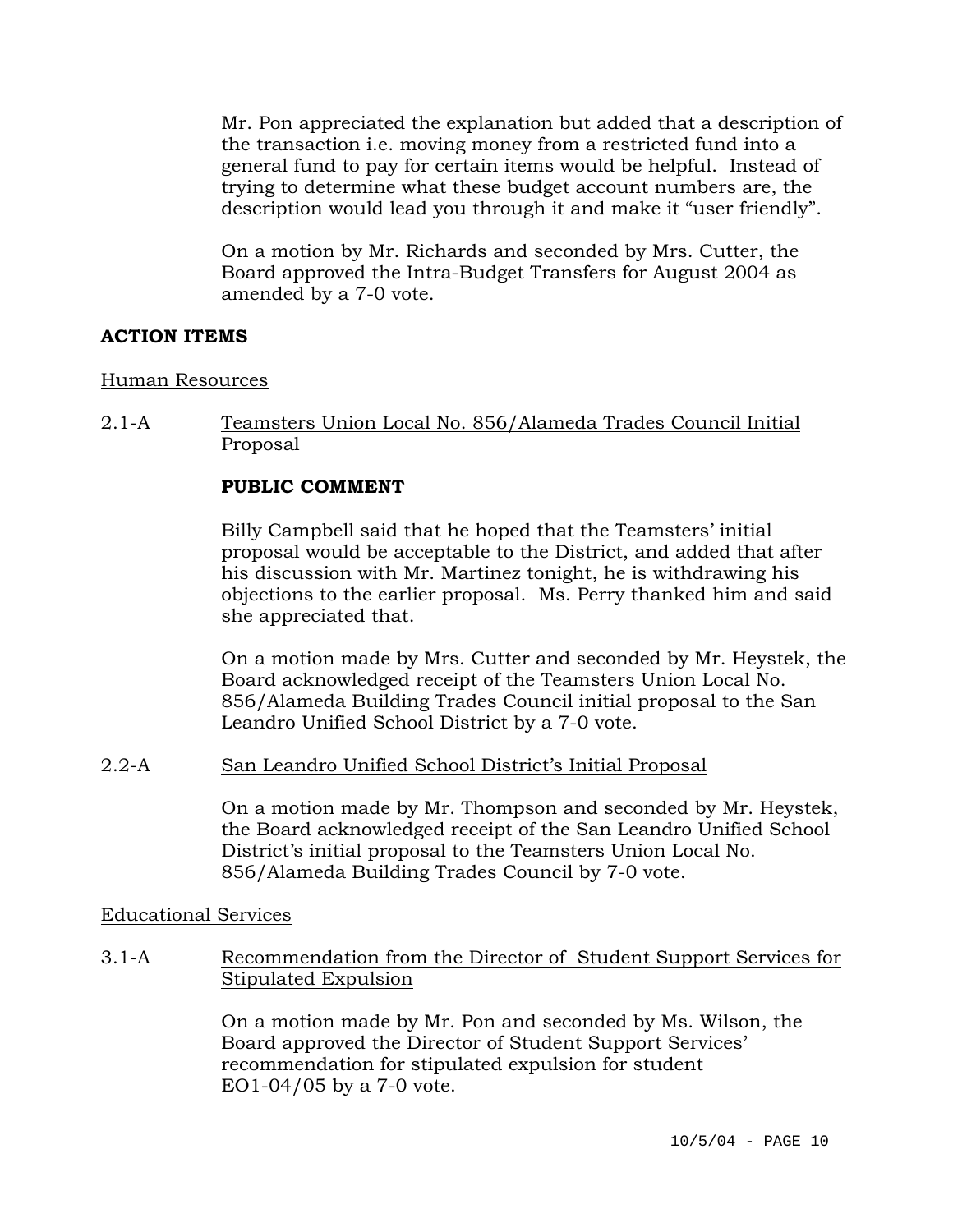Mr. Pon appreciated the explanation but added that a description of the transaction i.e. moving money from a restricted fund into a general fund to pay for certain items would be helpful. Instead of trying to determine what these budget account numbers are, the description would lead you through it and make it "user friendly".

On a motion by Mr. Richards and seconded by Mrs. Cutter, the Board approved the Intra-Budget Transfers for August 2004 as amended by a 7-0 vote.

### **ACTION ITEMS**

### Human Resources

2.1-A Teamsters Union Local No. 856/Alameda Trades Council Initial Proposal

## **PUBLIC COMMENT**

Billy Campbell said that he hoped that the Teamsters' initial proposal would be acceptable to the District, and added that after his discussion with Mr. Martinez tonight, he is withdrawing his objections to the earlier proposal. Ms. Perry thanked him and said she appreciated that.

On a motion made by Mrs. Cutter and seconded by Mr. Heystek, the Board acknowledged receipt of the Teamsters Union Local No. 856/Alameda Building Trades Council initial proposal to the San Leandro Unified School District by a 7-0 vote.

### 2.2-A San Leandro Unified School District's Initial Proposal

On a motion made by Mr. Thompson and seconded by Mr. Heystek, the Board acknowledged receipt of the San Leandro Unified School District's initial proposal to the Teamsters Union Local No. 856/Alameda Building Trades Council by 7-0 vote.

### Educational Services

3.1-A Recommendation from the Director of Student Support Services for Stipulated Expulsion

> On a motion made by Mr. Pon and seconded by Ms. Wilson, the Board approved the Director of Student Support Services' recommendation for stipulated expulsion for student EO1-04/05 by a 7-0 vote.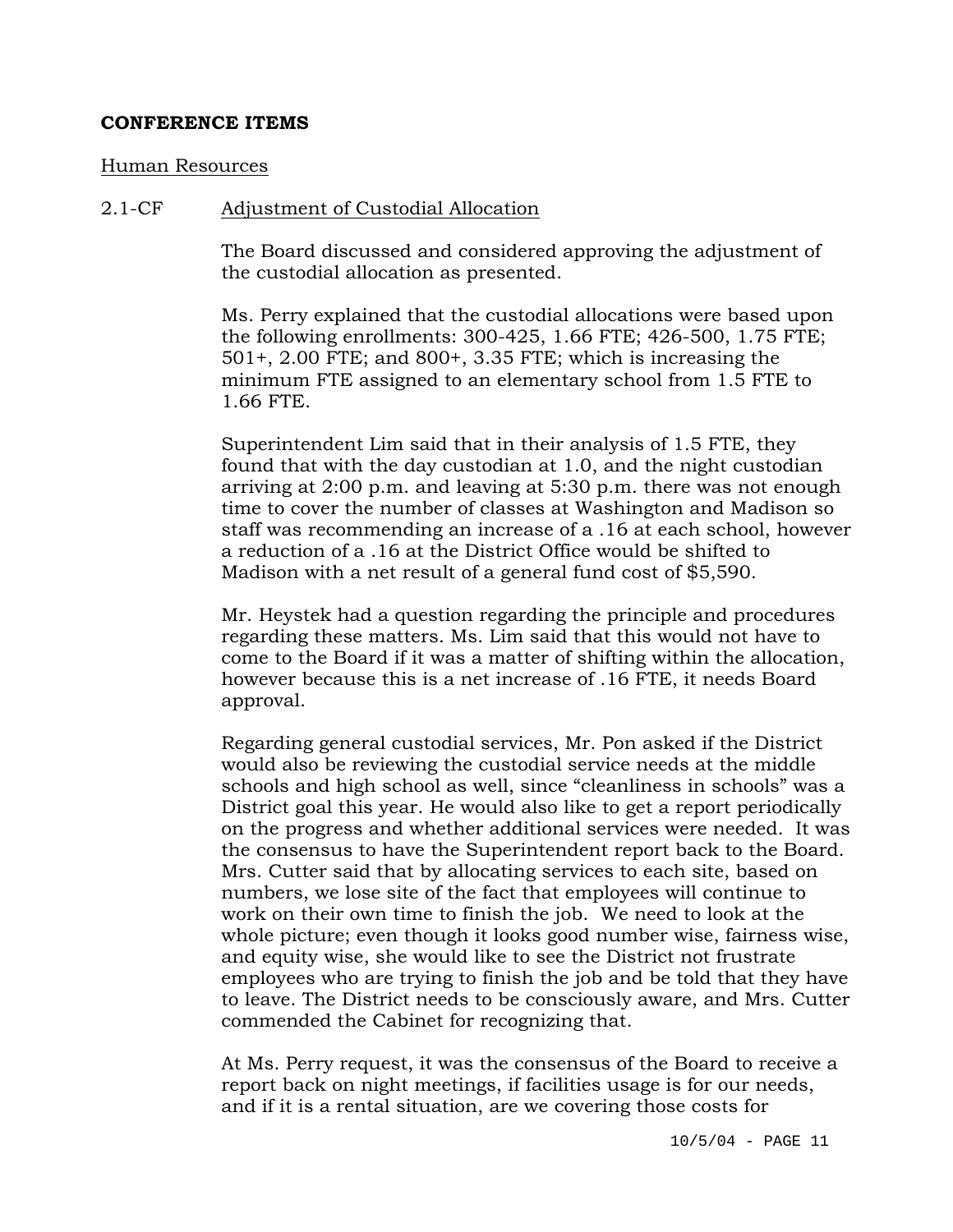### **CONFERENCE ITEMS**

#### Human Resources

#### 2.1-CF Adjustment of Custodial Allocation

The Board discussed and considered approving the adjustment of the custodial allocation as presented.

Ms. Perry explained that the custodial allocations were based upon the following enrollments: 300-425, 1.66 FTE; 426-500, 1.75 FTE; 501+, 2.00 FTE; and 800+, 3.35 FTE; which is increasing the minimum FTE assigned to an elementary school from 1.5 FTE to 1.66 FTE.

Superintendent Lim said that in their analysis of 1.5 FTE, they found that with the day custodian at 1.0, and the night custodian arriving at 2:00 p.m. and leaving at 5:30 p.m. there was not enough time to cover the number of classes at Washington and Madison so staff was recommending an increase of a .16 at each school, however a reduction of a .16 at the District Office would be shifted to Madison with a net result of a general fund cost of \$5,590.

Mr. Heystek had a question regarding the principle and procedures regarding these matters. Ms. Lim said that this would not have to come to the Board if it was a matter of shifting within the allocation, however because this is a net increase of .16 FTE, it needs Board approval.

Regarding general custodial services, Mr. Pon asked if the District would also be reviewing the custodial service needs at the middle schools and high school as well, since "cleanliness in schools" was a District goal this year. He would also like to get a report periodically on the progress and whether additional services were needed. It was the consensus to have the Superintendent report back to the Board. Mrs. Cutter said that by allocating services to each site, based on numbers, we lose site of the fact that employees will continue to work on their own time to finish the job. We need to look at the whole picture; even though it looks good number wise, fairness wise, and equity wise, she would like to see the District not frustrate employees who are trying to finish the job and be told that they have to leave. The District needs to be consciously aware, and Mrs. Cutter commended the Cabinet for recognizing that.

At Ms. Perry request, it was the consensus of the Board to receive a report back on night meetings, if facilities usage is for our needs, and if it is a rental situation, are we covering those costs for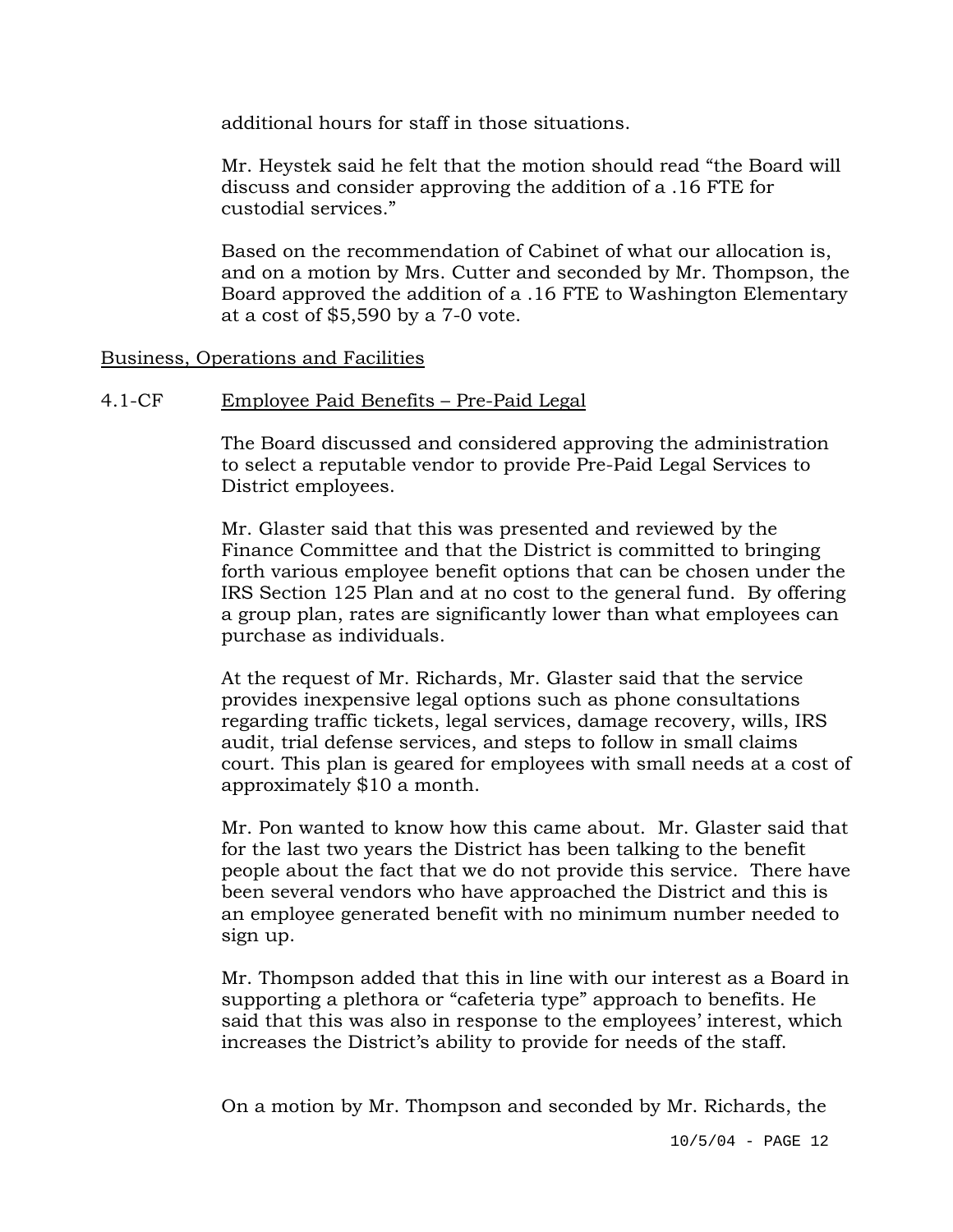additional hours for staff in those situations.

Mr. Heystek said he felt that the motion should read "the Board will discuss and consider approving the addition of a .16 FTE for custodial services."

Based on the recommendation of Cabinet of what our allocation is, and on a motion by Mrs. Cutter and seconded by Mr. Thompson, the Board approved the addition of a .16 FTE to Washington Elementary at a cost of \$5,590 by a 7-0 vote.

### Business, Operations and Facilities

### 4.1-CF Employee Paid Benefits – Pre-Paid Legal

The Board discussed and considered approving the administration to select a reputable vendor to provide Pre-Paid Legal Services to District employees.

Mr. Glaster said that this was presented and reviewed by the Finance Committee and that the District is committed to bringing forth various employee benefit options that can be chosen under the IRS Section 125 Plan and at no cost to the general fund. By offering a group plan, rates are significantly lower than what employees can purchase as individuals.

At the request of Mr. Richards, Mr. Glaster said that the service provides inexpensive legal options such as phone consultations regarding traffic tickets, legal services, damage recovery, wills, IRS audit, trial defense services, and steps to follow in small claims court. This plan is geared for employees with small needs at a cost of approximately \$10 a month.

Mr. Pon wanted to know how this came about. Mr. Glaster said that for the last two years the District has been talking to the benefit people about the fact that we do not provide this service. There have been several vendors who have approached the District and this is an employee generated benefit with no minimum number needed to sign up.

Mr. Thompson added that this in line with our interest as a Board in supporting a plethora or "cafeteria type" approach to benefits. He said that this was also in response to the employees' interest, which increases the District's ability to provide for needs of the staff.

On a motion by Mr. Thompson and seconded by Mr. Richards, the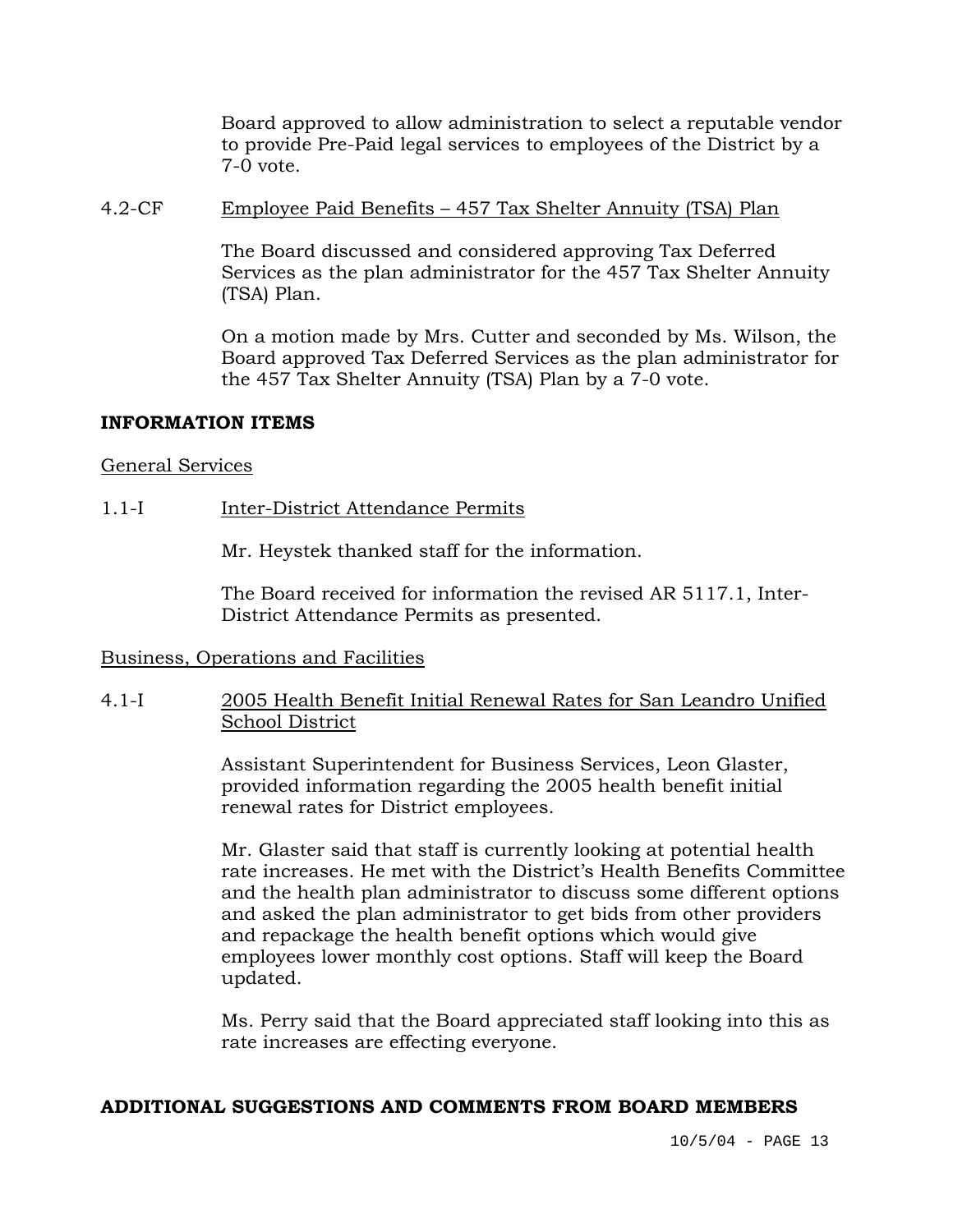Board approved to allow administration to select a reputable vendor to provide Pre-Paid legal services to employees of the District by a 7-0 vote.

### 4.2-CF Employee Paid Benefits – 457 Tax Shelter Annuity (TSA) Plan

The Board discussed and considered approving Tax Deferred Services as the plan administrator for the 457 Tax Shelter Annuity (TSA) Plan.

On a motion made by Mrs. Cutter and seconded by Ms. Wilson, the Board approved Tax Deferred Services as the plan administrator for the 457 Tax Shelter Annuity (TSA) Plan by a 7-0 vote.

### **INFORMATION ITEMS**

### General Services

### 1.1-I Inter-District Attendance Permits

Mr. Heystek thanked staff for the information.

The Board received for information the revised AR 5117.1, Inter-District Attendance Permits as presented.

### Business, Operations and Facilities

### 4.1-I 2005 Health Benefit Initial Renewal Rates for San Leandro Unified School District

Assistant Superintendent for Business Services, Leon Glaster, provided information regarding the 2005 health benefit initial renewal rates for District employees.

Mr. Glaster said that staff is currently looking at potential health rate increases. He met with the District's Health Benefits Committee and the health plan administrator to discuss some different options and asked the plan administrator to get bids from other providers and repackage the health benefit options which would give employees lower monthly cost options. Staff will keep the Board updated.

Ms. Perry said that the Board appreciated staff looking into this as rate increases are effecting everyone.

### **ADDITIONAL SUGGESTIONS AND COMMENTS FROM BOARD MEMBERS**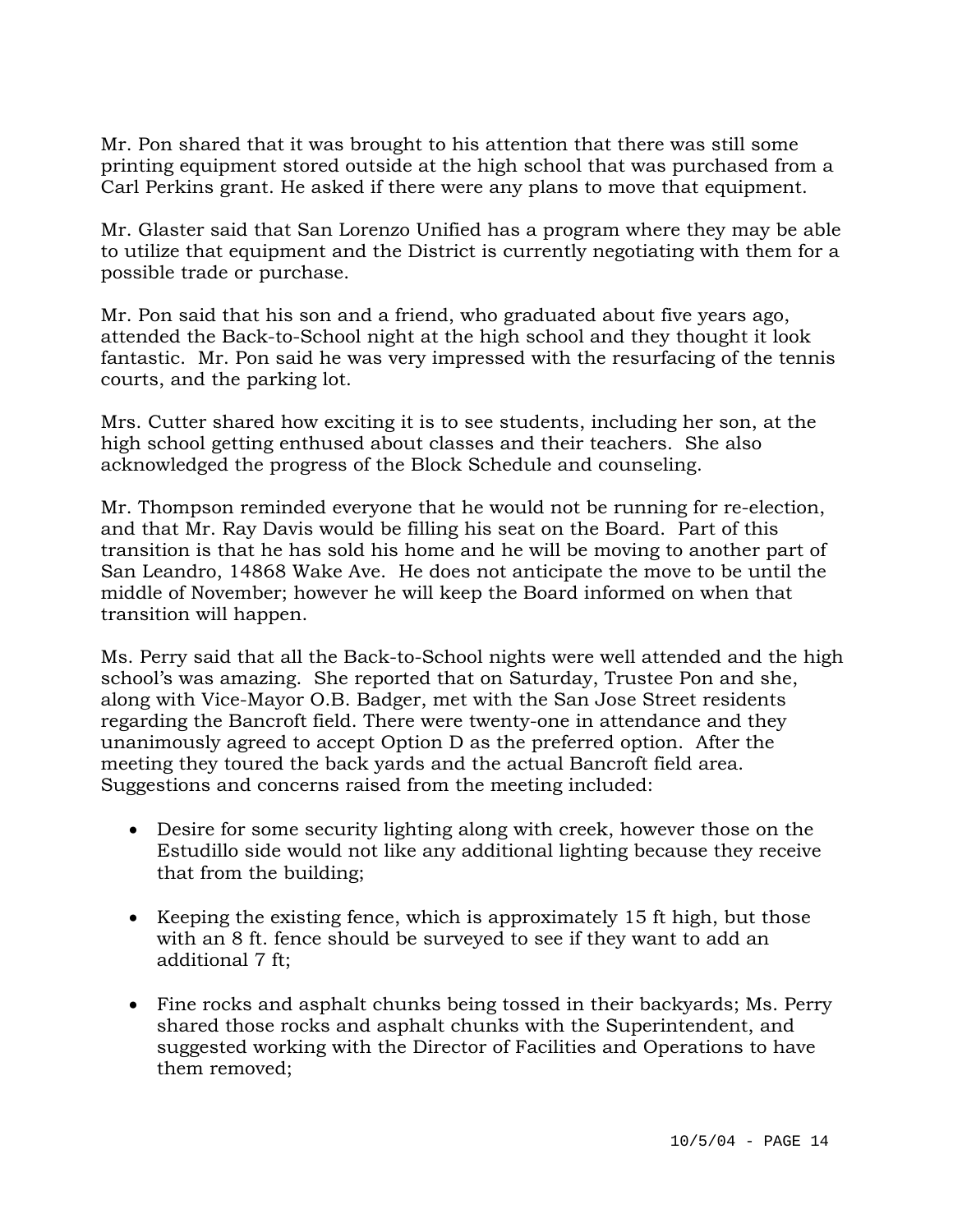Mr. Pon shared that it was brought to his attention that there was still some printing equipment stored outside at the high school that was purchased from a Carl Perkins grant. He asked if there were any plans to move that equipment.

Mr. Glaster said that San Lorenzo Unified has a program where they may be able to utilize that equipment and the District is currently negotiating with them for a possible trade or purchase.

Mr. Pon said that his son and a friend, who graduated about five years ago, attended the Back-to-School night at the high school and they thought it look fantastic. Mr. Pon said he was very impressed with the resurfacing of the tennis courts, and the parking lot.

Mrs. Cutter shared how exciting it is to see students, including her son, at the high school getting enthused about classes and their teachers. She also acknowledged the progress of the Block Schedule and counseling.

Mr. Thompson reminded everyone that he would not be running for re-election, and that Mr. Ray Davis would be filling his seat on the Board. Part of this transition is that he has sold his home and he will be moving to another part of San Leandro, 14868 Wake Ave. He does not anticipate the move to be until the middle of November; however he will keep the Board informed on when that transition will happen.

Ms. Perry said that all the Back-to-School nights were well attended and the high school's was amazing. She reported that on Saturday, Trustee Pon and she, along with Vice-Mayor O.B. Badger, met with the San Jose Street residents regarding the Bancroft field. There were twenty-one in attendance and they unanimously agreed to accept Option D as the preferred option. After the meeting they toured the back yards and the actual Bancroft field area. Suggestions and concerns raised from the meeting included:

- Desire for some security lighting along with creek, however those on the Estudillo side would not like any additional lighting because they receive that from the building;
- Keeping the existing fence, which is approximately 15 ft high, but those with an 8 ft. fence should be surveyed to see if they want to add an additional 7 ft;
- Fine rocks and asphalt chunks being tossed in their backyards; Ms. Perry shared those rocks and asphalt chunks with the Superintendent, and suggested working with the Director of Facilities and Operations to have them removed;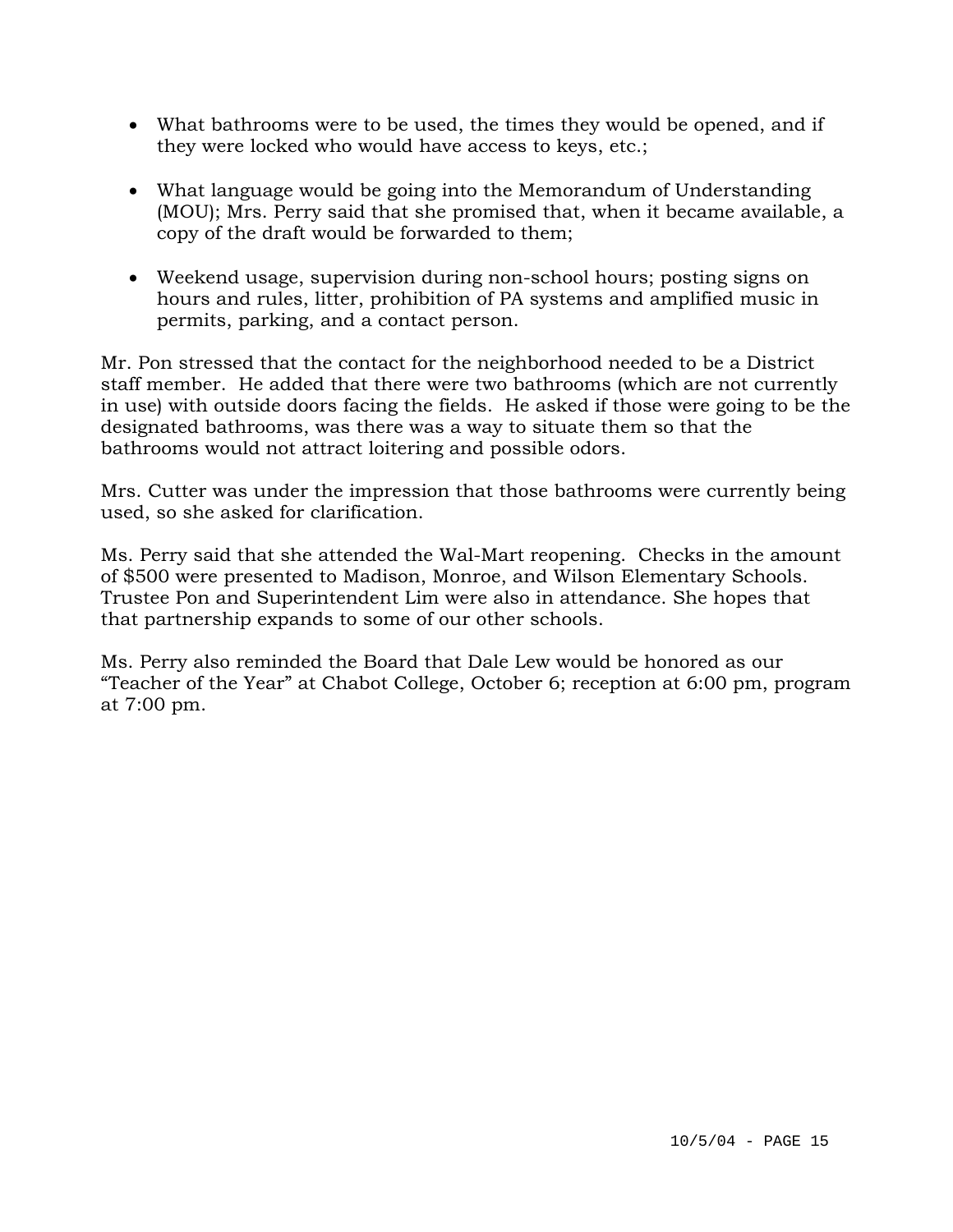- What bathrooms were to be used, the times they would be opened, and if they were locked who would have access to keys, etc.;
- What language would be going into the Memorandum of Understanding (MOU); Mrs. Perry said that she promised that, when it became available, a copy of the draft would be forwarded to them;
- Weekend usage, supervision during non-school hours; posting signs on hours and rules, litter, prohibition of PA systems and amplified music in permits, parking, and a contact person.

Mr. Pon stressed that the contact for the neighborhood needed to be a District staff member. He added that there were two bathrooms (which are not currently in use) with outside doors facing the fields. He asked if those were going to be the designated bathrooms, was there was a way to situate them so that the bathrooms would not attract loitering and possible odors.

Mrs. Cutter was under the impression that those bathrooms were currently being used, so she asked for clarification.

Ms. Perry said that she attended the Wal-Mart reopening. Checks in the amount of \$500 were presented to Madison, Monroe, and Wilson Elementary Schools. Trustee Pon and Superintendent Lim were also in attendance. She hopes that that partnership expands to some of our other schools.

Ms. Perry also reminded the Board that Dale Lew would be honored as our "Teacher of the Year" at Chabot College, October 6; reception at 6:00 pm, program at 7:00 pm.